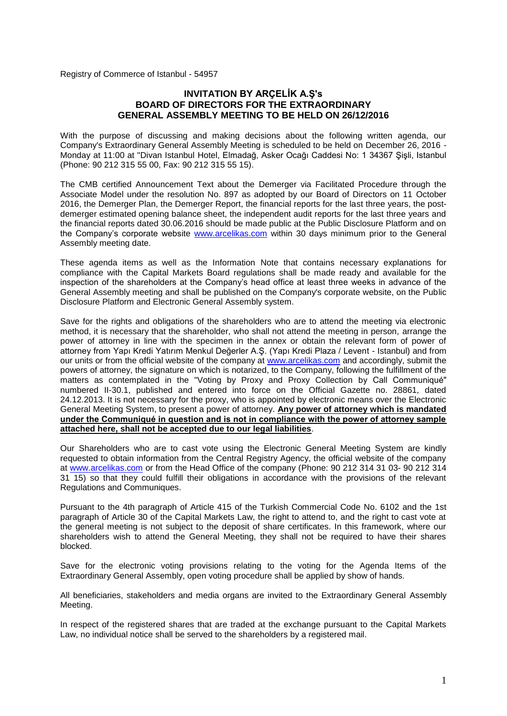Registry of Commerce of Istanbul - 54957

# **INVITATION BY ARÇELİK A.Ş's BOARD OF DIRECTORS FOR THE EXTRAORDINARY GENERAL ASSEMBLY MEETING TO BE HELD ON 26/12/2016**

With the purpose of discussing and making decisions about the following written agenda, our Company's Extraordinary General Assembly Meeting is scheduled to be held on December 26, 2016 - Monday at 11:00 at "Divan Istanbul Hotel, Elmadağ, Asker Ocağı Caddesi No: 1 34367 Şişli, Istanbul (Phone: 90 212 315 55 00, Fax: 90 212 315 55 15).

The CMB certified Announcement Text about the Demerger via Facilitated Procedure through the Associate Model under the resolution No. 897 as adopted by our Board of Directors on 11 October 2016, the Demerger Plan, the Demerger Report, the financial reports for the last three years, the postdemerger estimated opening balance sheet, the independent audit reports for the last three years and the financial reports dated 30.06.2016 should be made public at the Public Disclosure Platform and on the Company's corporate website [www.arcelikas.com](http://www.arcelikas.com/) within 30 days minimum prior to the General Assembly meeting date.

These agenda items as well as the Information Note that contains necessary explanations for compliance with the Capital Markets Board regulations shall be made ready and available for the inspection of the shareholders at the Company's head office at least three weeks in advance of the General Assembly meeting and shall be published on the Company's corporate website, on the Public Disclosure Platform and Electronic General Assembly system.

Save for the rights and obligations of the shareholders who are to attend the meeting via electronic method, it is necessary that the shareholder, who shall not attend the meeting in person, arrange the power of attorney in line with the specimen in the annex or obtain the relevant form of power of attorney from Yapı Kredi Yatırım Menkul Değerler A.Ş. (Yapı Kredi Plaza / Levent - Istanbul) and from our units or from the official website of the company at [www.arcelikas.com](http://www.arcelikas.com/) and accordingly, submit the powers of attorney, the signature on which is notarized, to the Company, following the fulfillment of the matters as contemplated in the "Voting by Proxy and Proxy Collection by Call Communiqué" numbered II-30.1, published and entered into force on the Official Gazette no. 28861, dated 24.12.2013. It is not necessary for the proxy, who is appointed by electronic means over the Electronic General Meeting System, to present a power of attorney. **Any power of attorney which is mandated under the Communiqué in question and is not in compliance with the power of attorney sample attached here, shall not be accepted due to our legal liabilities**.

Our Shareholders who are to cast vote using the Electronic General Meeting System are kindly requested to obtain information from the Central Registry Agency, the official website of the company at [www.arcelikas.com](http://www.arcelikas.com/) or from the Head Office of the company [\(Phone: 90](tel:0) 212 314 31 03- 90 212 314 31 15) so that they could fulfill their obligations in accordance with the provisions of the relevant Regulations and Communiques.

Pursuant to the 4th paragraph of Article 415 of the Turkish Commercial Code No. 6102 and the 1st paragraph of Article 30 of the Capital Markets Law, the right to attend to, and the right to cast vote at the general meeting is not subject to the deposit of share certificates. In this framework, where our shareholders wish to attend the General Meeting, they shall not be required to have their shares blocked.

Save for the electronic voting provisions relating to the voting for the Agenda Items of the Extraordinary General Assembly, open voting procedure shall be applied by show of hands.

All beneficiaries, stakeholders and media organs are invited to the Extraordinary General Assembly Meeting.

In respect of the registered shares that are traded at the exchange pursuant to the Capital Markets Law, no individual notice shall be served to the shareholders by a registered mail.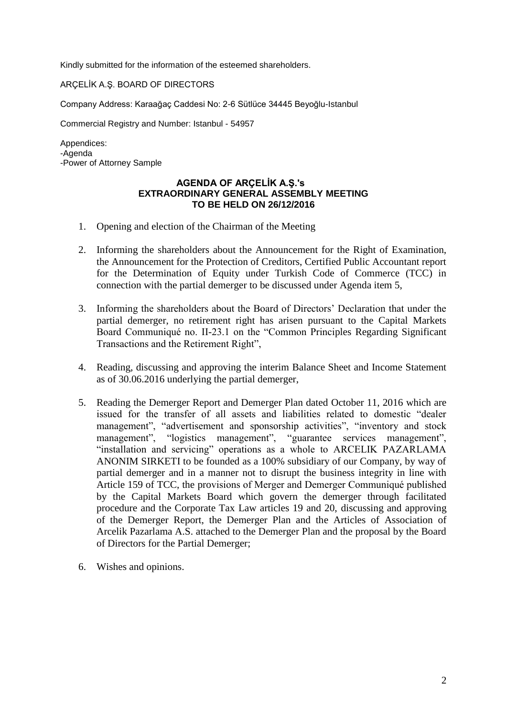Kindly submitted for the information of the esteemed shareholders.

ARÇELİK A.Ş. BOARD OF DIRECTORS

Company Address: Karaağaç Caddesi No: 2-6 Sütlüce 34445 Beyoğlu-Istanbul

Commercial Registry and Number: Istanbul - 54957

Appendices: -Agenda -Power of Attorney Sample

## **AGENDA OF ARÇELİK A.Ş.'s EXTRAORDINARY GENERAL ASSEMBLY MEETING TO BE HELD ON 26/12/2016**

- 1. Opening and election of the Chairman of the Meeting
- 2. Informing the shareholders about the Announcement for the Right of Examination, the Announcement for the Protection of Creditors, Certified Public Accountant report for the Determination of Equity under Turkish Code of Commerce (TCC) in connection with the partial demerger to be discussed under Agenda item 5,
- 3. Informing the shareholders about the Board of Directors' Declaration that under the partial demerger, no retirement right has arisen pursuant to the Capital Markets Board Communiqué no. II-23.1 on the "Common Principles Regarding Significant Transactions and the Retirement Right",
- 4. Reading, discussing and approving the interim Balance Sheet and Income Statement as of 30.06.2016 underlying the partial demerger,
- 5. Reading the Demerger Report and Demerger Plan dated October 11, 2016 which are issued for the transfer of all assets and liabilities related to domestic "dealer management", "advertisement and sponsorship activities", "inventory and stock management", "logistics management", "guarantee services management", "installation and servicing" operations as a whole to ARCELIK PAZARLAMA ANONIM SIRKETI to be founded as a 100% subsidiary of our Company, by way of partial demerger and in a manner not to disrupt the business integrity in line with Article 159 of TCC, the provisions of Merger and Demerger Communiqué published by the Capital Markets Board which govern the demerger through facilitated procedure and the Corporate Tax Law articles 19 and 20, discussing and approving of the Demerger Report, the Demerger Plan and the Articles of Association of Arcelik Pazarlama A.S. attached to the Demerger Plan and the proposal by the Board of Directors for the Partial Demerger;
- 6. Wishes and opinions.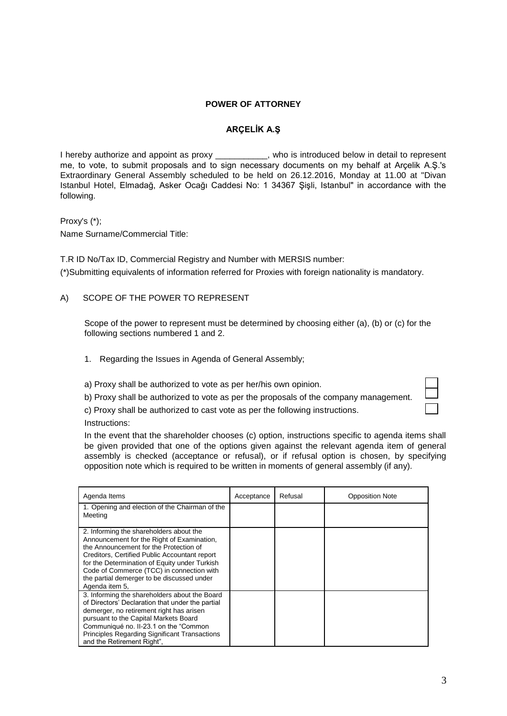#### **POWER OF ATTORNEY**

#### **ARÇELİK A.Ş**

I hereby authorize and appoint as proxy example in who is introduced below in detail to represent me, to vote, to submit proposals and to sign necessary documents on my behalf at Arçelik A.Ş.'s Extraordinary General Assembly scheduled to be held on 26.12.2016, Monday at 11.00 at "Divan Istanbul Hotel, Elmadağ, Asker Ocağı Caddesi No: 1 34367 Şişli, Istanbul" in accordance with the following.

Proxy's (\*);

Name Surname/Commercial Title:

T.R ID No/Tax ID, Commercial Registry and Number with MERSIS number: (\*)Submitting equivalents of information referred for Proxies with foreign nationality is mandatory.

### A) SCOPE OF THE POWER TO REPRESENT

Scope of the power to represent must be determined by choosing either (a), (b) or (c) for the following sections numbered 1 and 2.

- 1. Regarding the Issues in Agenda of General Assembly;
- a) Proxy shall be authorized to vote as per her/his own opinion.
- b) Proxy shall be authorized to vote as per the proposals of the company management.
- c) Proxy shall be authorized to cast vote as per the following instructions.

Instructions:

In the event that the shareholder chooses (c) option, instructions specific to agenda items shall be given provided that one of the options given against the relevant agenda item of general assembly is checked (acceptance or refusal), or if refusal option is chosen, by specifying opposition note which is required to be written in moments of general assembly (if any).

| Agenda Items                                                                                                                                                                                                                                                                                                                                   | Acceptance | Refusal | <b>Opposition Note</b> |
|------------------------------------------------------------------------------------------------------------------------------------------------------------------------------------------------------------------------------------------------------------------------------------------------------------------------------------------------|------------|---------|------------------------|
| 1. Opening and election of the Chairman of the<br>Meeting                                                                                                                                                                                                                                                                                      |            |         |                        |
| 2. Informing the shareholders about the<br>Announcement for the Right of Examination,<br>the Announcement for the Protection of<br>Creditors, Certified Public Accountant report<br>for the Determination of Equity under Turkish<br>Code of Commerce (TCC) in connection with<br>the partial demerger to be discussed under<br>Agenda item 5, |            |         |                        |
| 3. Informing the shareholders about the Board<br>of Directors' Declaration that under the partial<br>demerger, no retirement right has arisen<br>pursuant to the Capital Markets Board<br>Communiqué no. II-23.1 on the "Common"<br><b>Principles Regarding Significant Transactions</b><br>and the Retirement Right",                         |            |         |                        |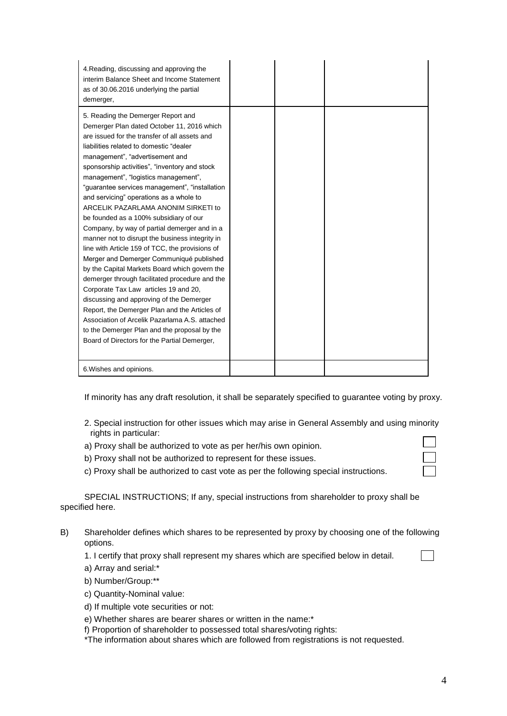| 4. Reading, discussing and approving the<br>interim Balance Sheet and Income Statement<br>as of 30.06.2016 underlying the partial<br>demerger,                                                                                                                                                                                                                                                                                                                                                                                                                                                                                                                                                                                                                                                                                                                                                                                                                                                                                                                                      |  |  |
|-------------------------------------------------------------------------------------------------------------------------------------------------------------------------------------------------------------------------------------------------------------------------------------------------------------------------------------------------------------------------------------------------------------------------------------------------------------------------------------------------------------------------------------------------------------------------------------------------------------------------------------------------------------------------------------------------------------------------------------------------------------------------------------------------------------------------------------------------------------------------------------------------------------------------------------------------------------------------------------------------------------------------------------------------------------------------------------|--|--|
| 5. Reading the Demerger Report and<br>Demerger Plan dated October 11, 2016 which<br>are issued for the transfer of all assets and<br>liabilities related to domestic "dealer<br>management", "advertisement and<br>sponsorship activities", "inventory and stock<br>management", "logistics management",<br>"guarantee services management", "installation<br>and servicing" operations as a whole to<br>ARCELIK PAZARLAMA ANONIM SIRKETI to<br>be founded as a 100% subsidiary of our<br>Company, by way of partial demerger and in a<br>manner not to disrupt the business integrity in<br>line with Article 159 of TCC, the provisions of<br>Merger and Demerger Communiqué published<br>by the Capital Markets Board which govern the<br>demerger through facilitated procedure and the<br>Corporate Tax Law articles 19 and 20,<br>discussing and approving of the Demerger<br>Report, the Demerger Plan and the Articles of<br>Association of Arcelik Pazarlama A.S. attached<br>to the Demerger Plan and the proposal by the<br>Board of Directors for the Partial Demerger, |  |  |
| 6. Wishes and opinions.                                                                                                                                                                                                                                                                                                                                                                                                                                                                                                                                                                                                                                                                                                                                                                                                                                                                                                                                                                                                                                                             |  |  |

If minority has any draft resolution, it shall be separately specified to guarantee voting by proxy.

- 2. Special instruction for other issues which may arise in General Assembly and using minority rights in particular:
- a) Proxy shall be authorized to vote as per her/his own opinion.
- b) Proxy shall not be authorized to represent for these issues.
- c) Proxy shall be authorized to cast vote as per the following special instructions.

SPECIAL INSTRUCTIONS; If any, special instructions from shareholder to proxy shall be specified here.

B) Shareholder defines which shares to be represented by proxy by choosing one of the following options.

1. I certify that proxy shall represent my shares which are specified below in detail.

- a) Array and serial:\*
- b) Number/Group:\*\*
- c) Quantity-Nominal value:
- d) If multiple vote securities or not:
- e) Whether shares are bearer shares or written in the name:\*
- f) Proportion of shareholder to possessed total shares/voting rights:

\*The information about shares which are followed from registrations is not requested.